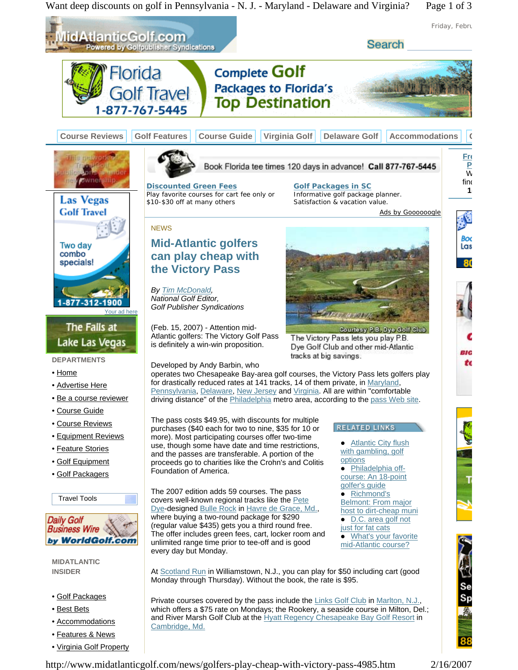Want deep discounts on golf in Pennsylvania - N. J. - Maryland - Delaware and Virginia? Page 1 of 3



http://www.midatlanticgolf.com/news/golfers-play-cheap-with-victory-pass-4985.htm 2/16/2007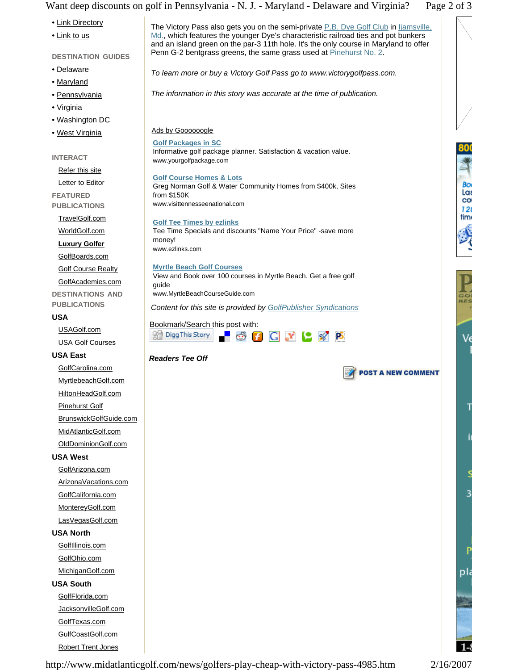Want deep discounts on golf in Pennsylvania - N. J. - Maryland - Delaware and Virginia? Page 2 of 3



http://www.midatlanticgolf.com/news/golfers-play-cheap-with-victory-pass-4985.htm 2/16/2007